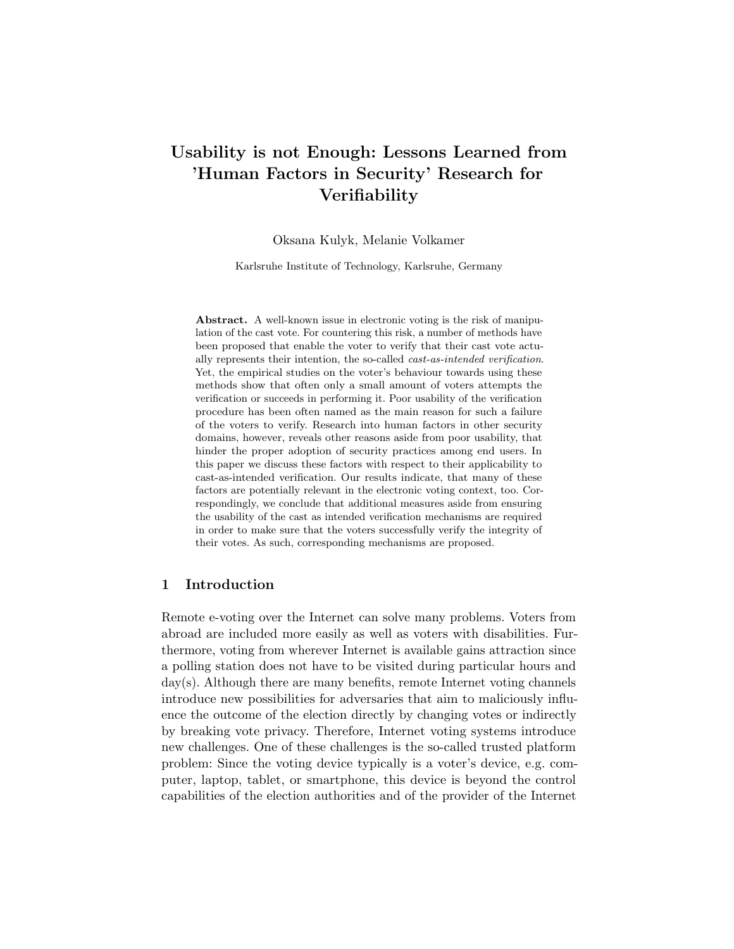# Usability is not Enough: Lessons Learned from 'Human Factors in Security' Research for **Verifiability**

Oksana Kulyk, Melanie Volkamer

Karlsruhe Institute of Technology, Karlsruhe, Germany

Abstract. A well-known issue in electronic voting is the risk of manipulation of the cast vote. For countering this risk, a number of methods have been proposed that enable the voter to verify that their cast vote actually represents their intention, the so-called cast-as-intended verification. Yet, the empirical studies on the voter's behaviour towards using these methods show that often only a small amount of voters attempts the verification or succeeds in performing it. Poor usability of the verification procedure has been often named as the main reason for such a failure of the voters to verify. Research into human factors in other security domains, however, reveals other reasons aside from poor usability, that hinder the proper adoption of security practices among end users. In this paper we discuss these factors with respect to their applicability to cast-as-intended verification. Our results indicate, that many of these factors are potentially relevant in the electronic voting context, too. Correspondingly, we conclude that additional measures aside from ensuring the usability of the cast as intended verification mechanisms are required in order to make sure that the voters successfully verify the integrity of their votes. As such, corresponding mechanisms are proposed.

# 1 Introduction

Remote e-voting over the Internet can solve many problems. Voters from abroad are included more easily as well as voters with disabilities. Furthermore, voting from wherever Internet is available gains attraction since a polling station does not have to be visited during particular hours and day(s). Although there are many benefits, remote Internet voting channels introduce new possibilities for adversaries that aim to maliciously influence the outcome of the election directly by changing votes or indirectly by breaking vote privacy. Therefore, Internet voting systems introduce new challenges. One of these challenges is the so-called trusted platform problem: Since the voting device typically is a voter's device, e.g. computer, laptop, tablet, or smartphone, this device is beyond the control capabilities of the election authorities and of the provider of the Internet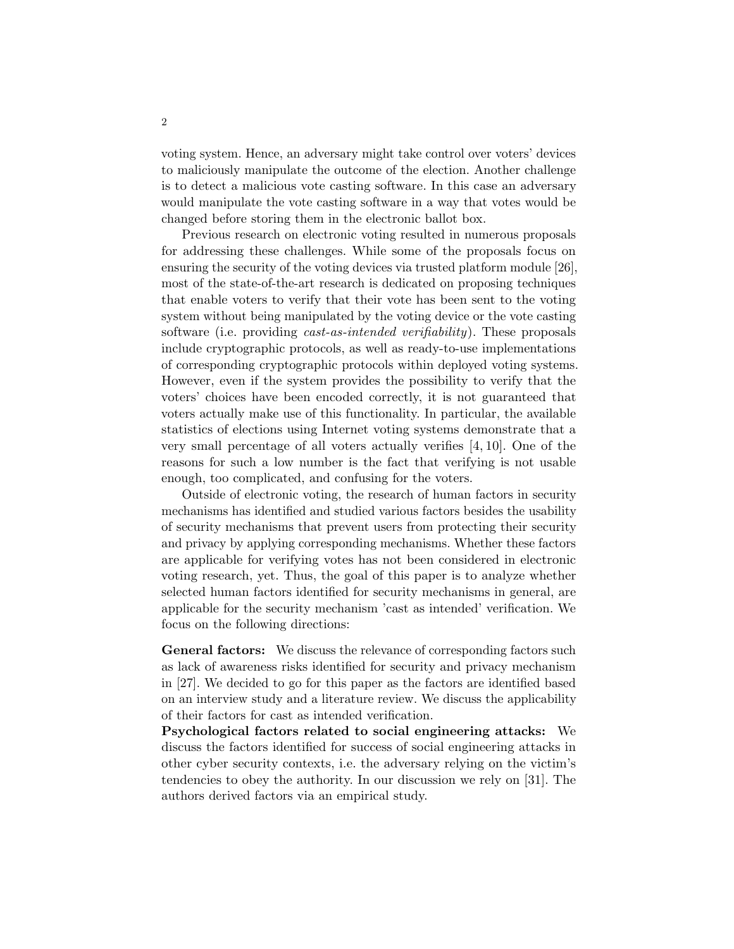voting system. Hence, an adversary might take control over voters' devices to maliciously manipulate the outcome of the election. Another challenge is to detect a malicious vote casting software. In this case an adversary would manipulate the vote casting software in a way that votes would be changed before storing them in the electronic ballot box.

Previous research on electronic voting resulted in numerous proposals for addressing these challenges. While some of the proposals focus on ensuring the security of the voting devices via trusted platform module [26], most of the state-of-the-art research is dedicated on proposing techniques that enable voters to verify that their vote has been sent to the voting system without being manipulated by the voting device or the vote casting software (i.e. providing *cast-as-intended verifiability*). These proposals include cryptographic protocols, as well as ready-to-use implementations of corresponding cryptographic protocols within deployed voting systems. However, even if the system provides the possibility to verify that the voters' choices have been encoded correctly, it is not guaranteed that voters actually make use of this functionality. In particular, the available statistics of elections using Internet voting systems demonstrate that a very small percentage of all voters actually verifies [4, 10]. One of the reasons for such a low number is the fact that verifying is not usable enough, too complicated, and confusing for the voters.

Outside of electronic voting, the research of human factors in security mechanisms has identified and studied various factors besides the usability of security mechanisms that prevent users from protecting their security and privacy by applying corresponding mechanisms. Whether these factors are applicable for verifying votes has not been considered in electronic voting research, yet. Thus, the goal of this paper is to analyze whether selected human factors identified for security mechanisms in general, are applicable for the security mechanism 'cast as intended' verification. We focus on the following directions:

General factors: We discuss the relevance of corresponding factors such as lack of awareness risks identified for security and privacy mechanism in [27]. We decided to go for this paper as the factors are identified based on an interview study and a literature review. We discuss the applicability of their factors for cast as intended verification.

Psychological factors related to social engineering attacks: We discuss the factors identified for success of social engineering attacks in other cyber security contexts, i.e. the adversary relying on the victim's tendencies to obey the authority. In our discussion we rely on [31]. The authors derived factors via an empirical study.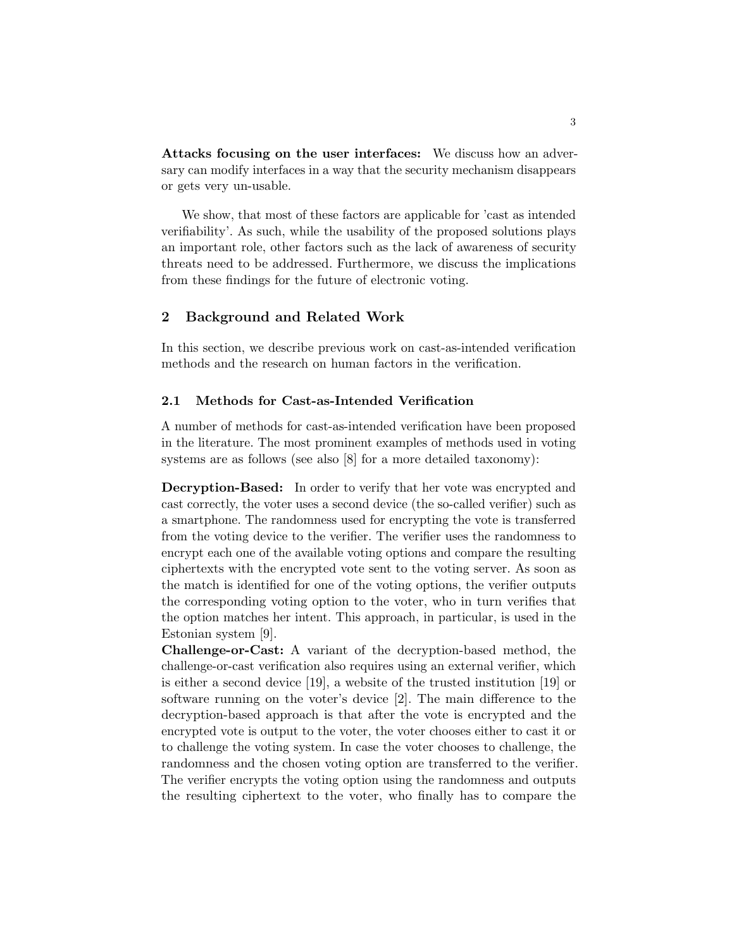Attacks focusing on the user interfaces: We discuss how an adversary can modify interfaces in a way that the security mechanism disappears or gets very un-usable.

We show, that most of these factors are applicable for 'cast as intended verifiability'. As such, while the usability of the proposed solutions plays an important role, other factors such as the lack of awareness of security threats need to be addressed. Furthermore, we discuss the implications from these findings for the future of electronic voting.

# 2 Background and Related Work

In this section, we describe previous work on cast-as-intended verification methods and the research on human factors in the verification.

# 2.1 Methods for Cast-as-Intended Verification

A number of methods for cast-as-intended verification have been proposed in the literature. The most prominent examples of methods used in voting systems are as follows (see also [8] for a more detailed taxonomy):

Decryption-Based: In order to verify that her vote was encrypted and cast correctly, the voter uses a second device (the so-called verifier) such as a smartphone. The randomness used for encrypting the vote is transferred from the voting device to the verifier. The verifier uses the randomness to encrypt each one of the available voting options and compare the resulting ciphertexts with the encrypted vote sent to the voting server. As soon as the match is identified for one of the voting options, the verifier outputs the corresponding voting option to the voter, who in turn verifies that the option matches her intent. This approach, in particular, is used in the Estonian system [9].

Challenge-or-Cast: A variant of the decryption-based method, the challenge-or-cast verification also requires using an external verifier, which is either a second device [19], a website of the trusted institution [19] or software running on the voter's device [2]. The main difference to the decryption-based approach is that after the vote is encrypted and the encrypted vote is output to the voter, the voter chooses either to cast it or to challenge the voting system. In case the voter chooses to challenge, the randomness and the chosen voting option are transferred to the verifier. The verifier encrypts the voting option using the randomness and outputs the resulting ciphertext to the voter, who finally has to compare the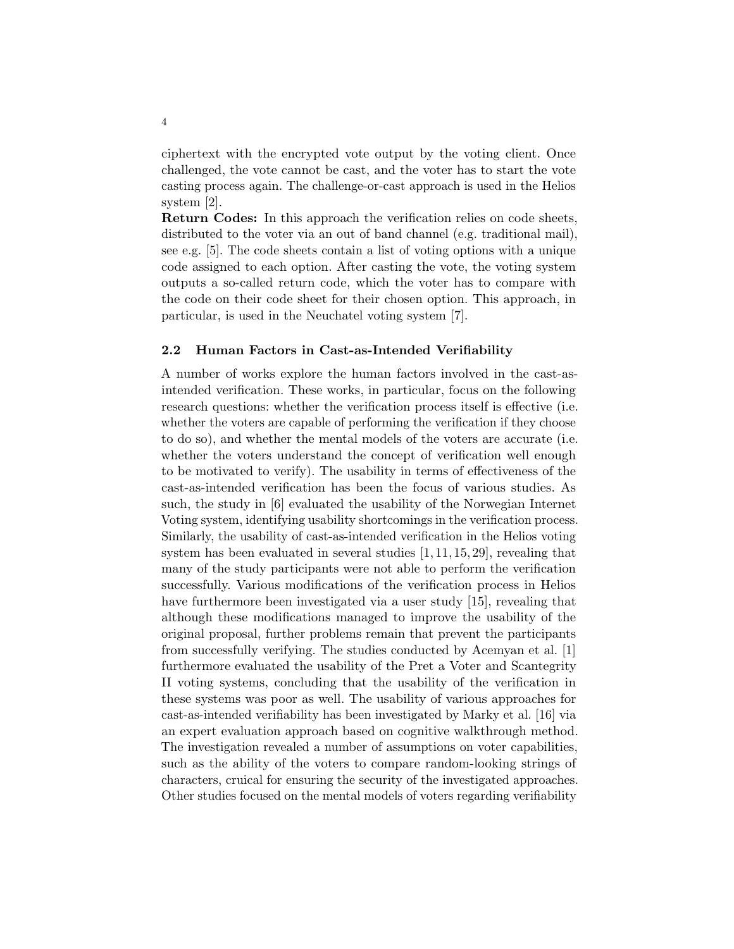ciphertext with the encrypted vote output by the voting client. Once challenged, the vote cannot be cast, and the voter has to start the vote casting process again. The challenge-or-cast approach is used in the Helios system [2].

Return Codes: In this approach the verification relies on code sheets, distributed to the voter via an out of band channel (e.g. traditional mail), see e.g. [5]. The code sheets contain a list of voting options with a unique code assigned to each option. After casting the vote, the voting system outputs a so-called return code, which the voter has to compare with the code on their code sheet for their chosen option. This approach, in particular, is used in the Neuchatel voting system [7].

### 2.2 Human Factors in Cast-as-Intended Verifiability

A number of works explore the human factors involved in the cast-asintended verification. These works, in particular, focus on the following research questions: whether the verification process itself is effective (i.e. whether the voters are capable of performing the verification if they choose to do so), and whether the mental models of the voters are accurate (i.e. whether the voters understand the concept of verification well enough to be motivated to verify). The usability in terms of effectiveness of the cast-as-intended verification has been the focus of various studies. As such, the study in [6] evaluated the usability of the Norwegian Internet Voting system, identifying usability shortcomings in the verification process. Similarly, the usability of cast-as-intended verification in the Helios voting system has been evaluated in several studies [1, 11, 15, 29], revealing that many of the study participants were not able to perform the verification successfully. Various modifications of the verification process in Helios have furthermore been investigated via a user study [15], revealing that although these modifications managed to improve the usability of the original proposal, further problems remain that prevent the participants from successfully verifying. The studies conducted by Acemyan et al. [1] furthermore evaluated the usability of the Pret a Voter and Scantegrity II voting systems, concluding that the usability of the verification in these systems was poor as well. The usability of various approaches for cast-as-intended verifiability has been investigated by Marky et al. [16] via an expert evaluation approach based on cognitive walkthrough method. The investigation revealed a number of assumptions on voter capabilities, such as the ability of the voters to compare random-looking strings of characters, cruical for ensuring the security of the investigated approaches. Other studies focused on the mental models of voters regarding verifiability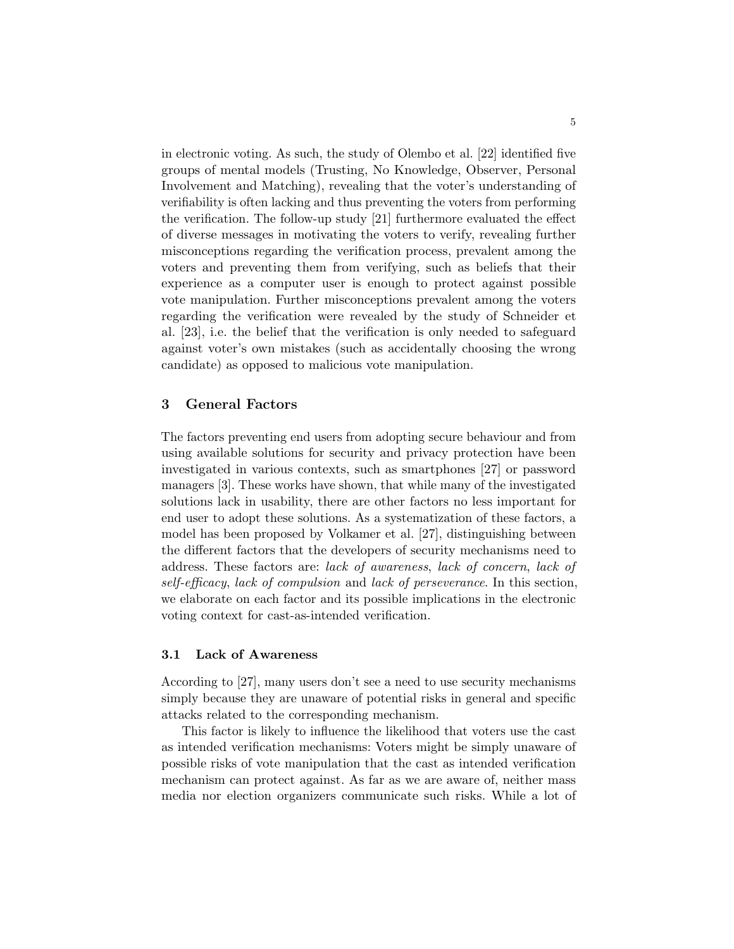in electronic voting. As such, the study of Olembo et al. [22] identified five groups of mental models (Trusting, No Knowledge, Observer, Personal Involvement and Matching), revealing that the voter's understanding of verifiability is often lacking and thus preventing the voters from performing the verification. The follow-up study [21] furthermore evaluated the effect of diverse messages in motivating the voters to verify, revealing further misconceptions regarding the verification process, prevalent among the voters and preventing them from verifying, such as beliefs that their experience as a computer user is enough to protect against possible vote manipulation. Further misconceptions prevalent among the voters regarding the verification were revealed by the study of Schneider et al. [23], i.e. the belief that the verification is only needed to safeguard against voter's own mistakes (such as accidentally choosing the wrong candidate) as opposed to malicious vote manipulation.

# 3 General Factors

The factors preventing end users from adopting secure behaviour and from using available solutions for security and privacy protection have been investigated in various contexts, such as smartphones [27] or password managers [3]. These works have shown, that while many of the investigated solutions lack in usability, there are other factors no less important for end user to adopt these solutions. As a systematization of these factors, a model has been proposed by Volkamer et al. [27], distinguishing between the different factors that the developers of security mechanisms need to address. These factors are: lack of awareness, lack of concern, lack of self-efficacy, lack of compulsion and lack of perseverance. In this section, we elaborate on each factor and its possible implications in the electronic voting context for cast-as-intended verification.

### 3.1 Lack of Awareness

According to [27], many users don't see a need to use security mechanisms simply because they are unaware of potential risks in general and specific attacks related to the corresponding mechanism.

This factor is likely to influence the likelihood that voters use the cast as intended verification mechanisms: Voters might be simply unaware of possible risks of vote manipulation that the cast as intended verification mechanism can protect against. As far as we are aware of, neither mass media nor election organizers communicate such risks. While a lot of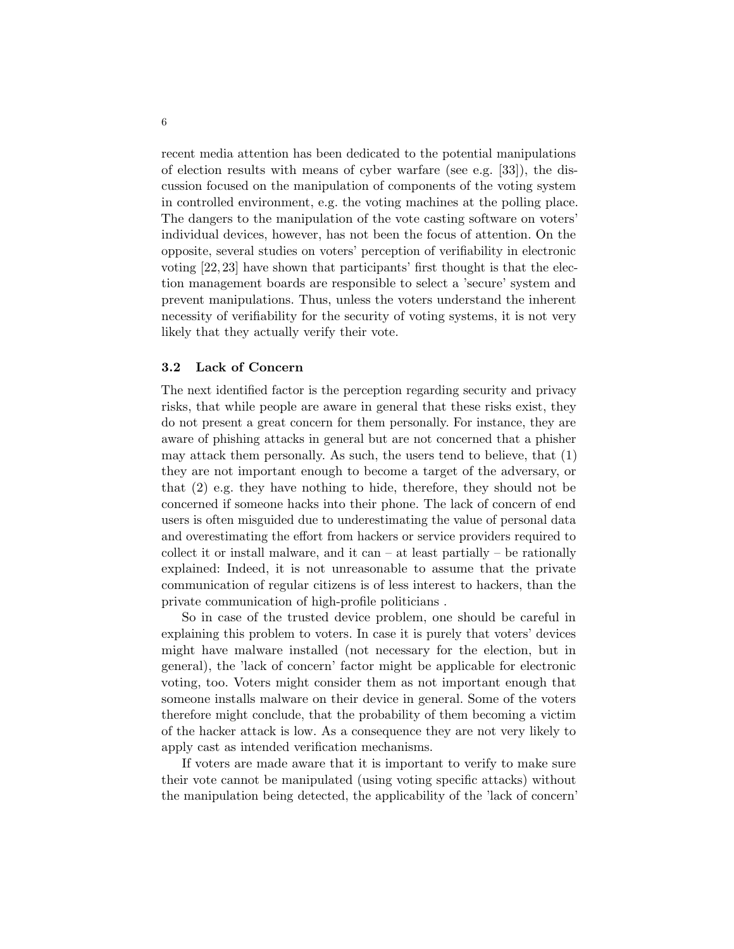recent media attention has been dedicated to the potential manipulations of election results with means of cyber warfare (see e.g. [33]), the discussion focused on the manipulation of components of the voting system in controlled environment, e.g. the voting machines at the polling place. The dangers to the manipulation of the vote casting software on voters' individual devices, however, has not been the focus of attention. On the opposite, several studies on voters' perception of verifiability in electronic voting [22, 23] have shown that participants' first thought is that the election management boards are responsible to select a 'secure' system and prevent manipulations. Thus, unless the voters understand the inherent necessity of verifiability for the security of voting systems, it is not very likely that they actually verify their vote.

### 3.2 Lack of Concern

The next identified factor is the perception regarding security and privacy risks, that while people are aware in general that these risks exist, they do not present a great concern for them personally. For instance, they are aware of phishing attacks in general but are not concerned that a phisher may attack them personally. As such, the users tend to believe, that (1) they are not important enough to become a target of the adversary, or that (2) e.g. they have nothing to hide, therefore, they should not be concerned if someone hacks into their phone. The lack of concern of end users is often misguided due to underestimating the value of personal data and overestimating the effort from hackers or service providers required to collect it or install malware, and it can  $-$  at least partially  $-$  be rationally explained: Indeed, it is not unreasonable to assume that the private communication of regular citizens is of less interest to hackers, than the private communication of high-profile politicians .

So in case of the trusted device problem, one should be careful in explaining this problem to voters. In case it is purely that voters' devices might have malware installed (not necessary for the election, but in general), the 'lack of concern' factor might be applicable for electronic voting, too. Voters might consider them as not important enough that someone installs malware on their device in general. Some of the voters therefore might conclude, that the probability of them becoming a victim of the hacker attack is low. As a consequence they are not very likely to apply cast as intended verification mechanisms.

If voters are made aware that it is important to verify to make sure their vote cannot be manipulated (using voting specific attacks) without the manipulation being detected, the applicability of the 'lack of concern'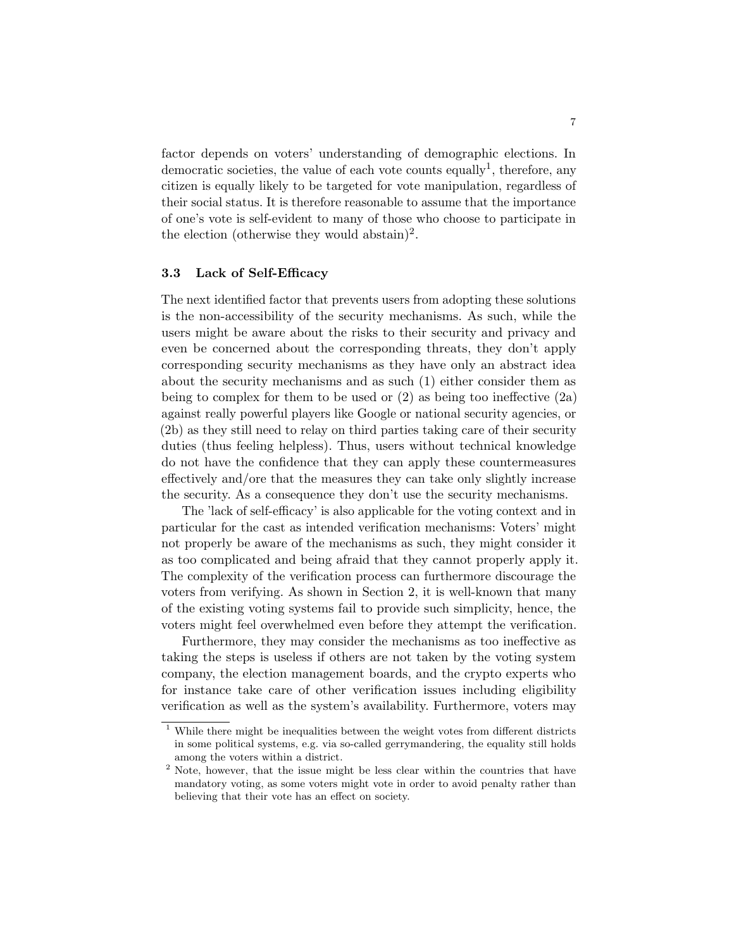factor depends on voters' understanding of demographic elections. In democratic societies, the value of each vote counts equally<sup>1</sup>, therefore, any citizen is equally likely to be targeted for vote manipulation, regardless of their social status. It is therefore reasonable to assume that the importance of one's vote is self-evident to many of those who choose to participate in the election (otherwise they would abstain)<sup>2</sup>.

### 3.3 Lack of Self-Efficacy

The next identified factor that prevents users from adopting these solutions is the non-accessibility of the security mechanisms. As such, while the users might be aware about the risks to their security and privacy and even be concerned about the corresponding threats, they don't apply corresponding security mechanisms as they have only an abstract idea about the security mechanisms and as such (1) either consider them as being to complex for them to be used or  $(2)$  as being too ineffective  $(2a)$ against really powerful players like Google or national security agencies, or (2b) as they still need to relay on third parties taking care of their security duties (thus feeling helpless). Thus, users without technical knowledge do not have the confidence that they can apply these countermeasures effectively and/ore that the measures they can take only slightly increase the security. As a consequence they don't use the security mechanisms.

The 'lack of self-efficacy' is also applicable for the voting context and in particular for the cast as intended verification mechanisms: Voters' might not properly be aware of the mechanisms as such, they might consider it as too complicated and being afraid that they cannot properly apply it. The complexity of the verification process can furthermore discourage the voters from verifying. As shown in Section 2, it is well-known that many of the existing voting systems fail to provide such simplicity, hence, the voters might feel overwhelmed even before they attempt the verification.

Furthermore, they may consider the mechanisms as too ineffective as taking the steps is useless if others are not taken by the voting system company, the election management boards, and the crypto experts who for instance take care of other verification issues including eligibility verification as well as the system's availability. Furthermore, voters may

 $1$  While there might be inequalities between the weight votes from different districts in some political systems, e.g. via so-called gerrymandering, the equality still holds among the voters within a district.

<sup>&</sup>lt;sup>2</sup> Note, however, that the issue might be less clear within the countries that have mandatory voting, as some voters might vote in order to avoid penalty rather than believing that their vote has an effect on society.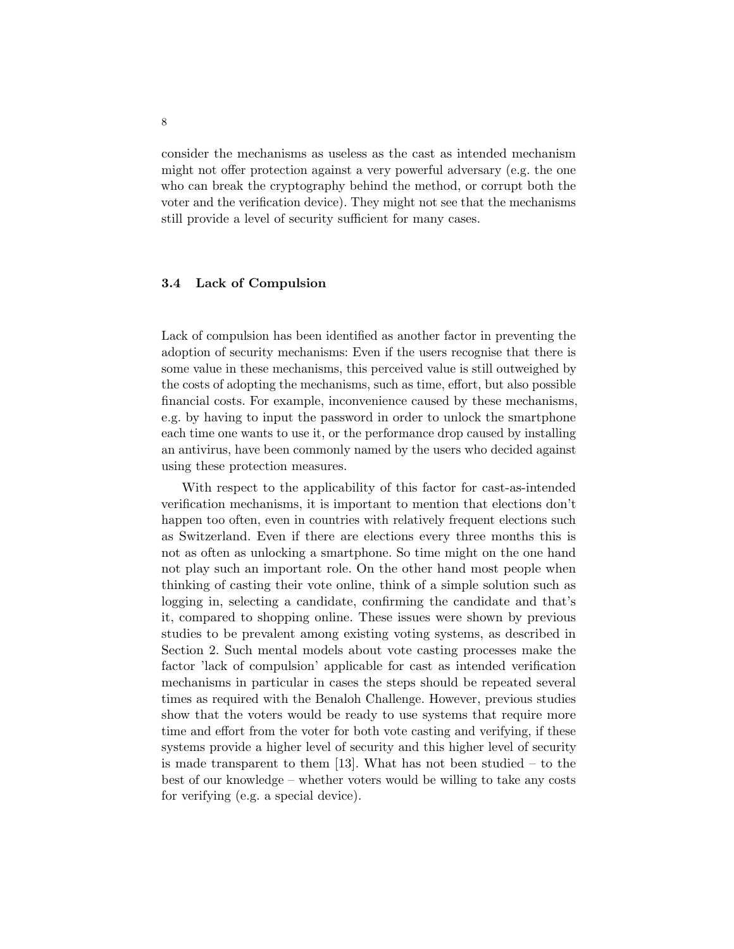consider the mechanisms as useless as the cast as intended mechanism might not offer protection against a very powerful adversary (e.g. the one who can break the cryptography behind the method, or corrupt both the voter and the verification device). They might not see that the mechanisms still provide a level of security sufficient for many cases.

# 3.4 Lack of Compulsion

Lack of compulsion has been identified as another factor in preventing the adoption of security mechanisms: Even if the users recognise that there is some value in these mechanisms, this perceived value is still outweighed by the costs of adopting the mechanisms, such as time, effort, but also possible financial costs. For example, inconvenience caused by these mechanisms, e.g. by having to input the password in order to unlock the smartphone each time one wants to use it, or the performance drop caused by installing an antivirus, have been commonly named by the users who decided against using these protection measures.

With respect to the applicability of this factor for cast-as-intended verification mechanisms, it is important to mention that elections don't happen too often, even in countries with relatively frequent elections such as Switzerland. Even if there are elections every three months this is not as often as unlocking a smartphone. So time might on the one hand not play such an important role. On the other hand most people when thinking of casting their vote online, think of a simple solution such as logging in, selecting a candidate, confirming the candidate and that's it, compared to shopping online. These issues were shown by previous studies to be prevalent among existing voting systems, as described in Section 2. Such mental models about vote casting processes make the factor 'lack of compulsion' applicable for cast as intended verification mechanisms in particular in cases the steps should be repeated several times as required with the Benaloh Challenge. However, previous studies show that the voters would be ready to use systems that require more time and effort from the voter for both vote casting and verifying, if these systems provide a higher level of security and this higher level of security is made transparent to them [13]. What has not been studied – to the best of our knowledge – whether voters would be willing to take any costs for verifying (e.g. a special device).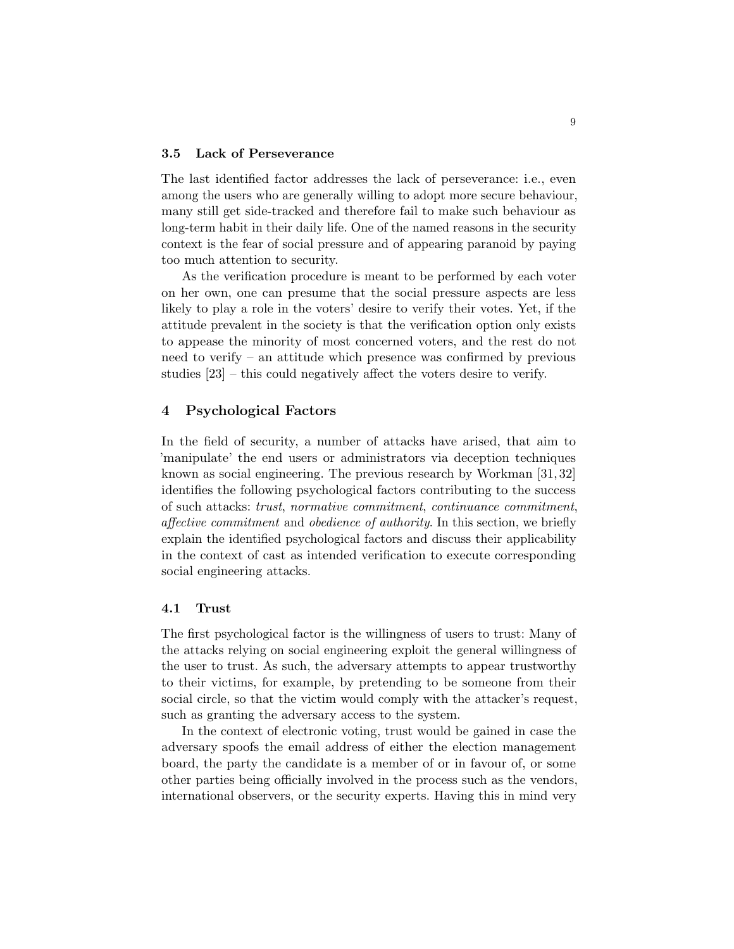### 3.5 Lack of Perseverance

The last identified factor addresses the lack of perseverance: i.e., even among the users who are generally willing to adopt more secure behaviour, many still get side-tracked and therefore fail to make such behaviour as long-term habit in their daily life. One of the named reasons in the security context is the fear of social pressure and of appearing paranoid by paying too much attention to security.

As the verification procedure is meant to be performed by each voter on her own, one can presume that the social pressure aspects are less likely to play a role in the voters' desire to verify their votes. Yet, if the attitude prevalent in the society is that the verification option only exists to appease the minority of most concerned voters, and the rest do not need to verify – an attitude which presence was confirmed by previous studies [23] – this could negatively affect the voters desire to verify.

### 4 Psychological Factors

In the field of security, a number of attacks have arised, that aim to 'manipulate' the end users or administrators via deception techniques known as social engineering. The previous research by Workman [31, 32] identifies the following psychological factors contributing to the success of such attacks: trust, normative commitment, continuance commitment, affective commitment and obedience of authority. In this section, we briefly explain the identified psychological factors and discuss their applicability in the context of cast as intended verification to execute corresponding social engineering attacks.

#### 4.1 Trust

The first psychological factor is the willingness of users to trust: Many of the attacks relying on social engineering exploit the general willingness of the user to trust. As such, the adversary attempts to appear trustworthy to their victims, for example, by pretending to be someone from their social circle, so that the victim would comply with the attacker's request, such as granting the adversary access to the system.

In the context of electronic voting, trust would be gained in case the adversary spoofs the email address of either the election management board, the party the candidate is a member of or in favour of, or some other parties being officially involved in the process such as the vendors, international observers, or the security experts. Having this in mind very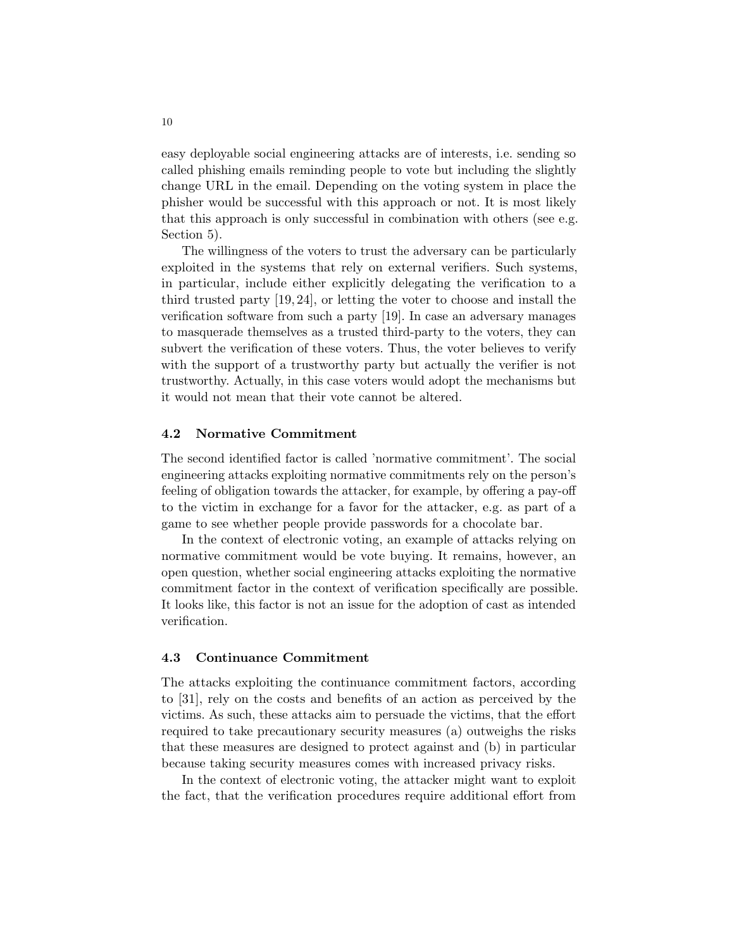easy deployable social engineering attacks are of interests, i.e. sending so called phishing emails reminding people to vote but including the slightly change URL in the email. Depending on the voting system in place the phisher would be successful with this approach or not. It is most likely that this approach is only successful in combination with others (see e.g. Section 5).

The willingness of the voters to trust the adversary can be particularly exploited in the systems that rely on external verifiers. Such systems, in particular, include either explicitly delegating the verification to a third trusted party [19, 24], or letting the voter to choose and install the verification software from such a party [19]. In case an adversary manages to masquerade themselves as a trusted third-party to the voters, they can subvert the verification of these voters. Thus, the voter believes to verify with the support of a trustworthy party but actually the verifier is not trustworthy. Actually, in this case voters would adopt the mechanisms but it would not mean that their vote cannot be altered.

# 4.2 Normative Commitment

The second identified factor is called 'normative commitment'. The social engineering attacks exploiting normative commitments rely on the person's feeling of obligation towards the attacker, for example, by offering a pay-off to the victim in exchange for a favor for the attacker, e.g. as part of a game to see whether people provide passwords for a chocolate bar.

In the context of electronic voting, an example of attacks relying on normative commitment would be vote buying. It remains, however, an open question, whether social engineering attacks exploiting the normative commitment factor in the context of verification specifically are possible. It looks like, this factor is not an issue for the adoption of cast as intended verification.

# 4.3 Continuance Commitment

The attacks exploiting the continuance commitment factors, according to [31], rely on the costs and benefits of an action as perceived by the victims. As such, these attacks aim to persuade the victims, that the effort required to take precautionary security measures (a) outweighs the risks that these measures are designed to protect against and (b) in particular because taking security measures comes with increased privacy risks.

In the context of electronic voting, the attacker might want to exploit the fact, that the verification procedures require additional effort from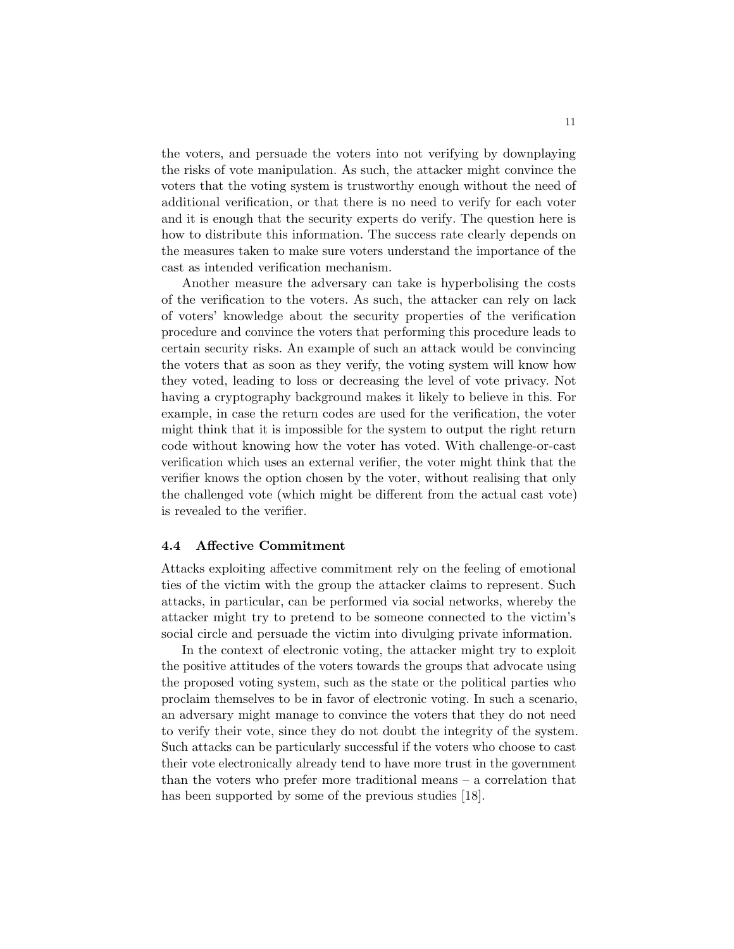the voters, and persuade the voters into not verifying by downplaying the risks of vote manipulation. As such, the attacker might convince the voters that the voting system is trustworthy enough without the need of additional verification, or that there is no need to verify for each voter and it is enough that the security experts do verify. The question here is how to distribute this information. The success rate clearly depends on the measures taken to make sure voters understand the importance of the cast as intended verification mechanism.

Another measure the adversary can take is hyperbolising the costs of the verification to the voters. As such, the attacker can rely on lack of voters' knowledge about the security properties of the verification procedure and convince the voters that performing this procedure leads to certain security risks. An example of such an attack would be convincing the voters that as soon as they verify, the voting system will know how they voted, leading to loss or decreasing the level of vote privacy. Not having a cryptography background makes it likely to believe in this. For example, in case the return codes are used for the verification, the voter might think that it is impossible for the system to output the right return code without knowing how the voter has voted. With challenge-or-cast verification which uses an external verifier, the voter might think that the verifier knows the option chosen by the voter, without realising that only the challenged vote (which might be different from the actual cast vote) is revealed to the verifier.

### 4.4 Affective Commitment

Attacks exploiting affective commitment rely on the feeling of emotional ties of the victim with the group the attacker claims to represent. Such attacks, in particular, can be performed via social networks, whereby the attacker might try to pretend to be someone connected to the victim's social circle and persuade the victim into divulging private information.

In the context of electronic voting, the attacker might try to exploit the positive attitudes of the voters towards the groups that advocate using the proposed voting system, such as the state or the political parties who proclaim themselves to be in favor of electronic voting. In such a scenario, an adversary might manage to convince the voters that they do not need to verify their vote, since they do not doubt the integrity of the system. Such attacks can be particularly successful if the voters who choose to cast their vote electronically already tend to have more trust in the government than the voters who prefer more traditional means – a correlation that has been supported by some of the previous studies [18].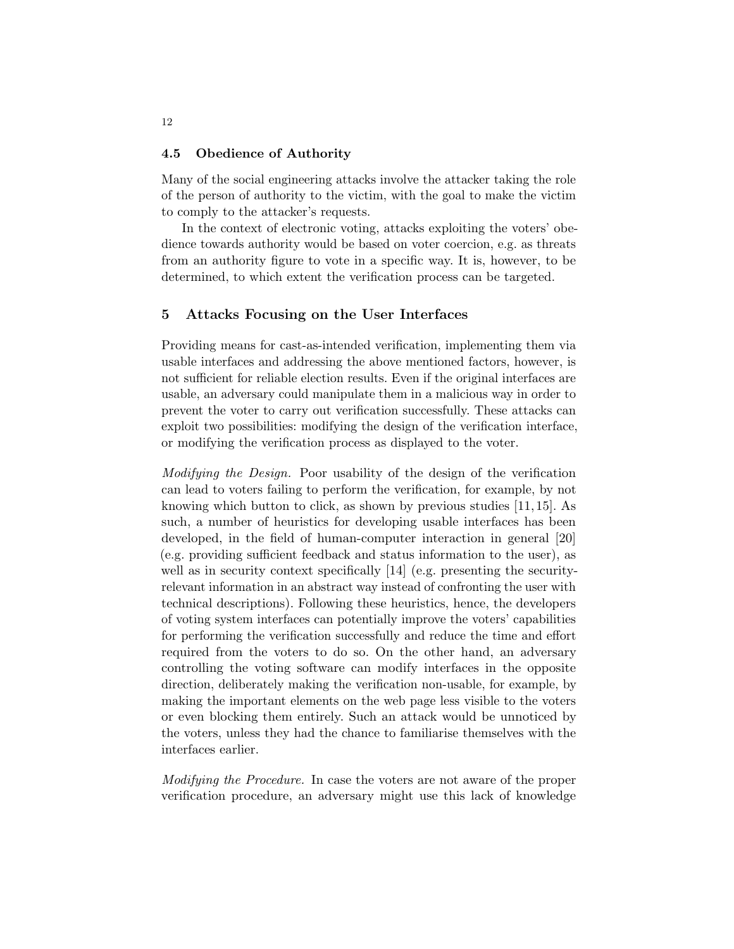### 4.5 Obedience of Authority

Many of the social engineering attacks involve the attacker taking the role of the person of authority to the victim, with the goal to make the victim to comply to the attacker's requests.

In the context of electronic voting, attacks exploiting the voters' obedience towards authority would be based on voter coercion, e.g. as threats from an authority figure to vote in a specific way. It is, however, to be determined, to which extent the verification process can be targeted.

### 5 Attacks Focusing on the User Interfaces

Providing means for cast-as-intended verification, implementing them via usable interfaces and addressing the above mentioned factors, however, is not sufficient for reliable election results. Even if the original interfaces are usable, an adversary could manipulate them in a malicious way in order to prevent the voter to carry out verification successfully. These attacks can exploit two possibilities: modifying the design of the verification interface, or modifying the verification process as displayed to the voter.

Modifying the Design. Poor usability of the design of the verification can lead to voters failing to perform the verification, for example, by not knowing which button to click, as shown by previous studies [11, 15]. As such, a number of heuristics for developing usable interfaces has been developed, in the field of human-computer interaction in general [20] (e.g. providing sufficient feedback and status information to the user), as well as in security context specifically [14] (e.g. presenting the securityrelevant information in an abstract way instead of confronting the user with technical descriptions). Following these heuristics, hence, the developers of voting system interfaces can potentially improve the voters' capabilities for performing the verification successfully and reduce the time and effort required from the voters to do so. On the other hand, an adversary controlling the voting software can modify interfaces in the opposite direction, deliberately making the verification non-usable, for example, by making the important elements on the web page less visible to the voters or even blocking them entirely. Such an attack would be unnoticed by the voters, unless they had the chance to familiarise themselves with the interfaces earlier.

Modifying the Procedure. In case the voters are not aware of the proper verification procedure, an adversary might use this lack of knowledge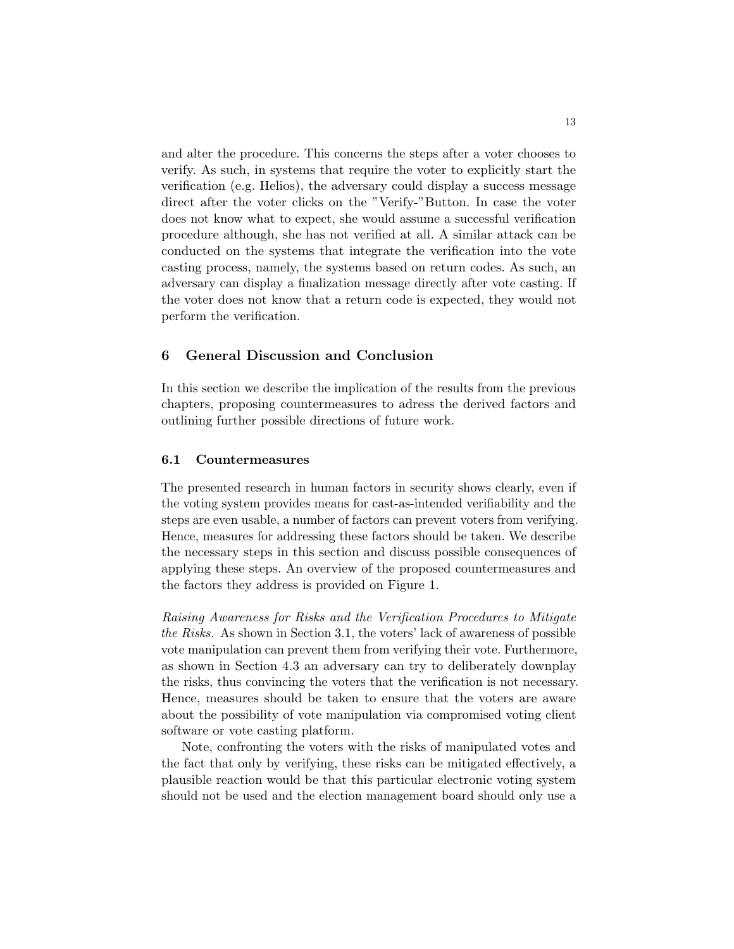and alter the procedure. This concerns the steps after a voter chooses to verify. As such, in systems that require the voter to explicitly start the verification (e.g. Helios), the adversary could display a success message direct after the voter clicks on the "Verify-"Button. In case the voter does not know what to expect, she would assume a successful verification procedure although, she has not verified at all. A similar attack can be conducted on the systems that integrate the verification into the vote casting process, namely, the systems based on return codes. As such, an adversary can display a finalization message directly after vote casting. If the voter does not know that a return code is expected, they would not perform the verification.

# 6 General Discussion and Conclusion

In this section we describe the implication of the results from the previous chapters, proposing countermeasures to adress the derived factors and outlining further possible directions of future work.

### 6.1 Countermeasures

The presented research in human factors in security shows clearly, even if the voting system provides means for cast-as-intended verifiability and the steps are even usable, a number of factors can prevent voters from verifying. Hence, measures for addressing these factors should be taken. We describe the necessary steps in this section and discuss possible consequences of applying these steps. An overview of the proposed countermeasures and the factors they address is provided on Figure 1.

Raising Awareness for Risks and the Verification Procedures to Mitigate the Risks. As shown in Section 3.1, the voters' lack of awareness of possible vote manipulation can prevent them from verifying their vote. Furthermore, as shown in Section 4.3 an adversary can try to deliberately downplay the risks, thus convincing the voters that the verification is not necessary. Hence, measures should be taken to ensure that the voters are aware about the possibility of vote manipulation via compromised voting client software or vote casting platform.

Note, confronting the voters with the risks of manipulated votes and the fact that only by verifying, these risks can be mitigated effectively, a plausible reaction would be that this particular electronic voting system should not be used and the election management board should only use a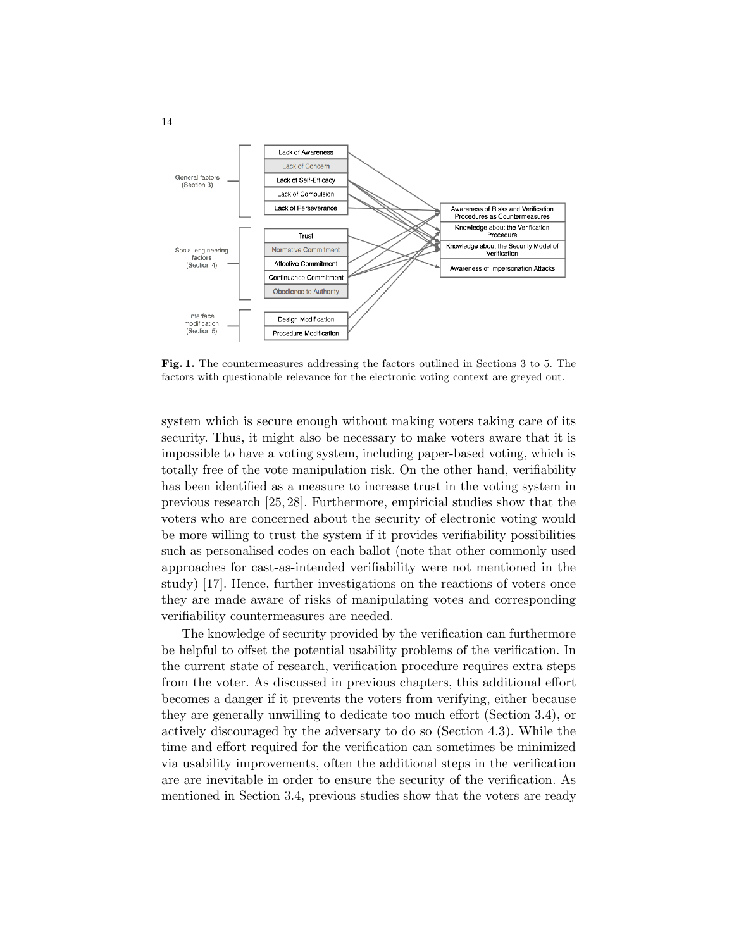

Fig. 1. The countermeasures addressing the factors outlined in Sections 3 to 5. The factors with questionable relevance for the electronic voting context are greyed out.

system which is secure enough without making voters taking care of its security. Thus, it might also be necessary to make voters aware that it is impossible to have a voting system, including paper-based voting, which is totally free of the vote manipulation risk. On the other hand, verifiability has been identified as a measure to increase trust in the voting system in previous research [25, 28]. Furthermore, empiricial studies show that the voters who are concerned about the security of electronic voting would be more willing to trust the system if it provides verifiability possibilities such as personalised codes on each ballot (note that other commonly used approaches for cast-as-intended verifiability were not mentioned in the study) [17]. Hence, further investigations on the reactions of voters once they are made aware of risks of manipulating votes and corresponding verifiability countermeasures are needed.

The knowledge of security provided by the verification can furthermore be helpful to offset the potential usability problems of the verification. In the current state of research, verification procedure requires extra steps from the voter. As discussed in previous chapters, this additional effort becomes a danger if it prevents the voters from verifying, either because they are generally unwilling to dedicate too much effort (Section 3.4), or actively discouraged by the adversary to do so (Section 4.3). While the time and effort required for the verification can sometimes be minimized via usability improvements, often the additional steps in the verification are are inevitable in order to ensure the security of the verification. As mentioned in Section 3.4, previous studies show that the voters are ready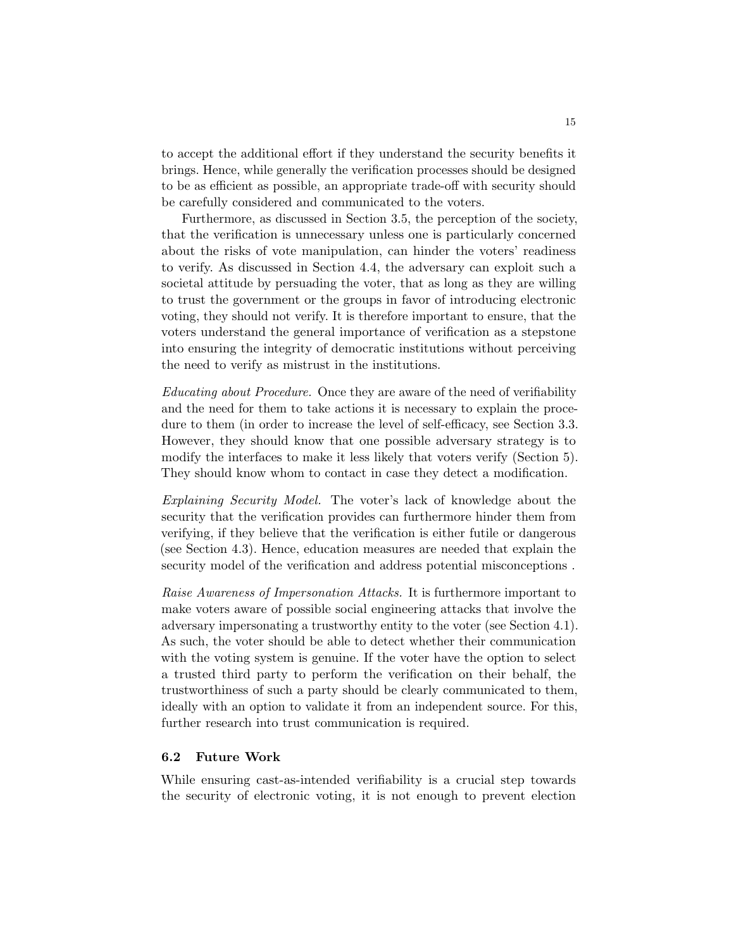to accept the additional effort if they understand the security benefits it brings. Hence, while generally the verification processes should be designed to be as efficient as possible, an appropriate trade-off with security should be carefully considered and communicated to the voters.

Furthermore, as discussed in Section 3.5, the perception of the society, that the verification is unnecessary unless one is particularly concerned about the risks of vote manipulation, can hinder the voters' readiness to verify. As discussed in Section 4.4, the adversary can exploit such a societal attitude by persuading the voter, that as long as they are willing to trust the government or the groups in favor of introducing electronic voting, they should not verify. It is therefore important to ensure, that the voters understand the general importance of verification as a stepstone into ensuring the integrity of democratic institutions without perceiving the need to verify as mistrust in the institutions.

Educating about Procedure. Once they are aware of the need of verifiability and the need for them to take actions it is necessary to explain the procedure to them (in order to increase the level of self-efficacy, see Section 3.3. However, they should know that one possible adversary strategy is to modify the interfaces to make it less likely that voters verify (Section 5). They should know whom to contact in case they detect a modification.

Explaining Security Model. The voter's lack of knowledge about the security that the verification provides can furthermore hinder them from verifying, if they believe that the verification is either futile or dangerous (see Section 4.3). Hence, education measures are needed that explain the security model of the verification and address potential misconceptions .

Raise Awareness of Impersonation Attacks. It is furthermore important to make voters aware of possible social engineering attacks that involve the adversary impersonating a trustworthy entity to the voter (see Section 4.1). As such, the voter should be able to detect whether their communication with the voting system is genuine. If the voter have the option to select a trusted third party to perform the verification on their behalf, the trustworthiness of such a party should be clearly communicated to them, ideally with an option to validate it from an independent source. For this, further research into trust communication is required.

# 6.2 Future Work

While ensuring cast-as-intended verifiability is a crucial step towards the security of electronic voting, it is not enough to prevent election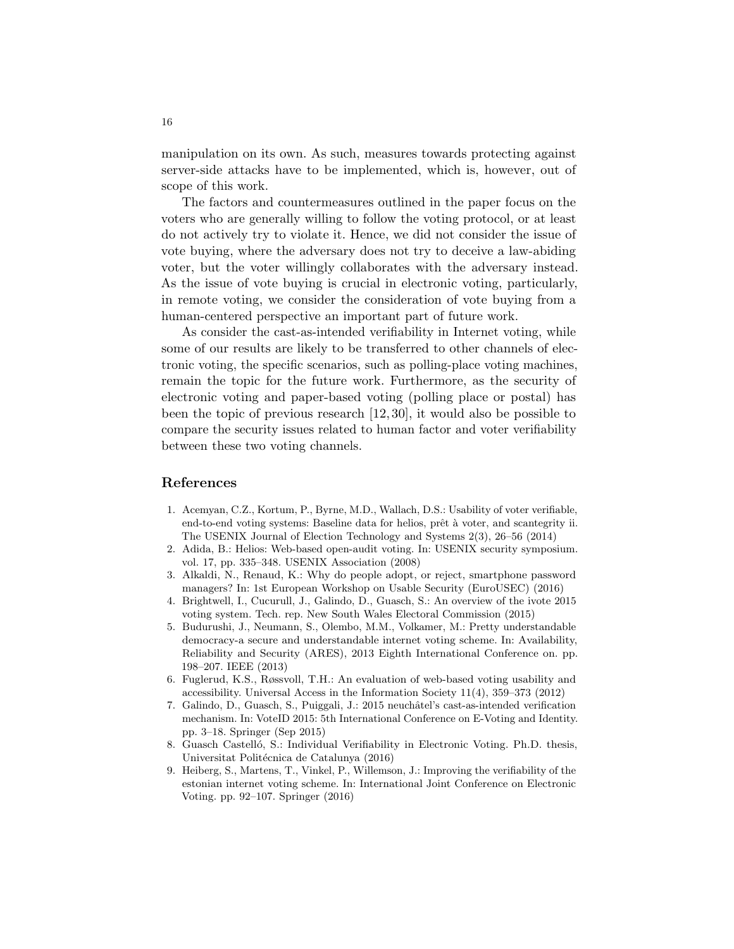manipulation on its own. As such, measures towards protecting against server-side attacks have to be implemented, which is, however, out of scope of this work.

The factors and countermeasures outlined in the paper focus on the voters who are generally willing to follow the voting protocol, or at least do not actively try to violate it. Hence, we did not consider the issue of vote buying, where the adversary does not try to deceive a law-abiding voter, but the voter willingly collaborates with the adversary instead. As the issue of vote buying is crucial in electronic voting, particularly, in remote voting, we consider the consideration of vote buying from a human-centered perspective an important part of future work.

As consider the cast-as-intended verifiability in Internet voting, while some of our results are likely to be transferred to other channels of electronic voting, the specific scenarios, such as polling-place voting machines, remain the topic for the future work. Furthermore, as the security of electronic voting and paper-based voting (polling place or postal) has been the topic of previous research [12, 30], it would also be possible to compare the security issues related to human factor and voter verifiability between these two voting channels.

# References

- 1. Acemyan, C.Z., Kortum, P., Byrne, M.D., Wallach, D.S.: Usability of voter verifiable, end-to-end voting systems: Baseline data for helios, prêt à voter, and scantegrity ii. The USENIX Journal of Election Technology and Systems 2(3), 26–56 (2014)
- 2. Adida, B.: Helios: Web-based open-audit voting. In: USENIX security symposium. vol. 17, pp. 335–348. USENIX Association (2008)
- 3. Alkaldi, N., Renaud, K.: Why do people adopt, or reject, smartphone password managers? In: 1st European Workshop on Usable Security (EuroUSEC) (2016)
- 4. Brightwell, I., Cucurull, J., Galindo, D., Guasch, S.: An overview of the ivote 2015 voting system. Tech. rep. New South Wales Electoral Commission (2015)
- 5. Budurushi, J., Neumann, S., Olembo, M.M., Volkamer, M.: Pretty understandable democracy-a secure and understandable internet voting scheme. In: Availability, Reliability and Security (ARES), 2013 Eighth International Conference on. pp. 198–207. IEEE (2013)
- 6. Fuglerud, K.S., Røssvoll, T.H.: An evaluation of web-based voting usability and accessibility. Universal Access in the Information Society 11(4), 359–373 (2012)
- 7. Galindo, D., Guasch, S., Puiggali, J.: 2015 neuchâtel's cast-as-intended verification mechanism. In: VoteID 2015: 5th International Conference on E-Voting and Identity. pp. 3–18. Springer (Sep 2015)
- 8. Guasch Castelló, S.: Individual Verifiability in Electronic Voting. Ph.D. thesis, Universitat Politécnica de Catalunya (2016)
- 9. Heiberg, S., Martens, T., Vinkel, P., Willemson, J.: Improving the verifiability of the estonian internet voting scheme. In: International Joint Conference on Electronic Voting. pp. 92–107. Springer (2016)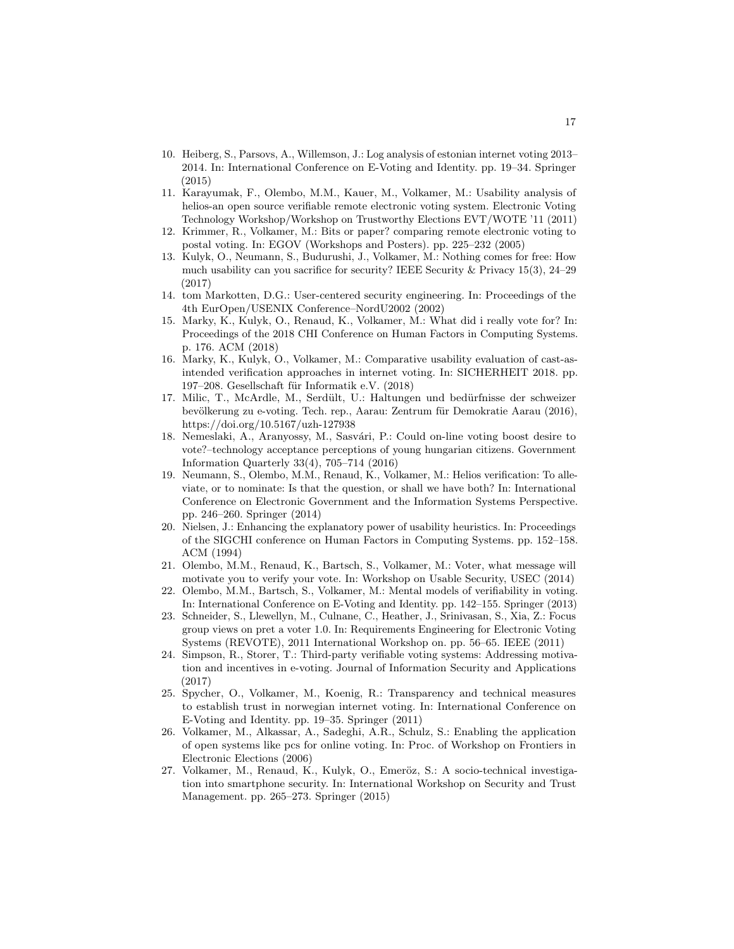- 10. Heiberg, S., Parsovs, A., Willemson, J.: Log analysis of estonian internet voting 2013– 2014. In: International Conference on E-Voting and Identity. pp. 19–34. Springer (2015)
- 11. Karayumak, F., Olembo, M.M., Kauer, M., Volkamer, M.: Usability analysis of helios-an open source verifiable remote electronic voting system. Electronic Voting Technology Workshop/Workshop on Trustworthy Elections EVT/WOTE '11 (2011)
- 12. Krimmer, R., Volkamer, M.: Bits or paper? comparing remote electronic voting to postal voting. In: EGOV (Workshops and Posters). pp. 225–232 (2005)
- 13. Kulyk, O., Neumann, S., Budurushi, J., Volkamer, M.: Nothing comes for free: How much usability can you sacrifice for security? IEEE Security & Privacy 15(3), 24–29 (2017)
- 14. tom Markotten, D.G.: User-centered security engineering. In: Proceedings of the 4th EurOpen/USENIX Conference–NordU2002 (2002)
- 15. Marky, K., Kulyk, O., Renaud, K., Volkamer, M.: What did i really vote for? In: Proceedings of the 2018 CHI Conference on Human Factors in Computing Systems. p. 176. ACM (2018)
- 16. Marky, K., Kulyk, O., Volkamer, M.: Comparative usability evaluation of cast-asintended verification approaches in internet voting. In: SICHERHEIT 2018. pp. 197–208. Gesellschaft für Informatik e.V. (2018)
- 17. Milic, T., McArdle, M., Serdült, U.: Haltungen und bedürfnisse der schweizer bevölkerung zu e-voting. Tech. rep., Aarau: Zentrum für Demokratie Aarau (2016), https://doi.org/10.5167/uzh-127938
- 18. Nemeslaki, A., Aranyossy, M., Sasvári, P.: Could on-line voting boost desire to vote?–technology acceptance perceptions of young hungarian citizens. Government Information Quarterly 33(4), 705–714 (2016)
- 19. Neumann, S., Olembo, M.M., Renaud, K., Volkamer, M.: Helios verification: To alleviate, or to nominate: Is that the question, or shall we have both? In: International Conference on Electronic Government and the Information Systems Perspective. pp. 246–260. Springer (2014)
- 20. Nielsen, J.: Enhancing the explanatory power of usability heuristics. In: Proceedings of the SIGCHI conference on Human Factors in Computing Systems. pp. 152–158. ACM (1994)
- 21. Olembo, M.M., Renaud, K., Bartsch, S., Volkamer, M.: Voter, what message will motivate you to verify your vote. In: Workshop on Usable Security, USEC (2014)
- 22. Olembo, M.M., Bartsch, S., Volkamer, M.: Mental models of verifiability in voting. In: International Conference on E-Voting and Identity. pp. 142–155. Springer (2013)
- 23. Schneider, S., Llewellyn, M., Culnane, C., Heather, J., Srinivasan, S., Xia, Z.: Focus group views on pret a voter 1.0. In: Requirements Engineering for Electronic Voting Systems (REVOTE), 2011 International Workshop on. pp. 56–65. IEEE (2011)
- 24. Simpson, R., Storer, T.: Third-party verifiable voting systems: Addressing motivation and incentives in e-voting. Journal of Information Security and Applications (2017)
- 25. Spycher, O., Volkamer, M., Koenig, R.: Transparency and technical measures to establish trust in norwegian internet voting. In: International Conference on E-Voting and Identity. pp. 19–35. Springer (2011)
- 26. Volkamer, M., Alkassar, A., Sadeghi, A.R., Schulz, S.: Enabling the application of open systems like pcs for online voting. In: Proc. of Workshop on Frontiers in Electronic Elections (2006)
- 27. Volkamer, M., Renaud, K., Kulyk, O., Emeröz, S.: A socio-technical investigation into smartphone security. In: International Workshop on Security and Trust Management. pp. 265–273. Springer (2015)